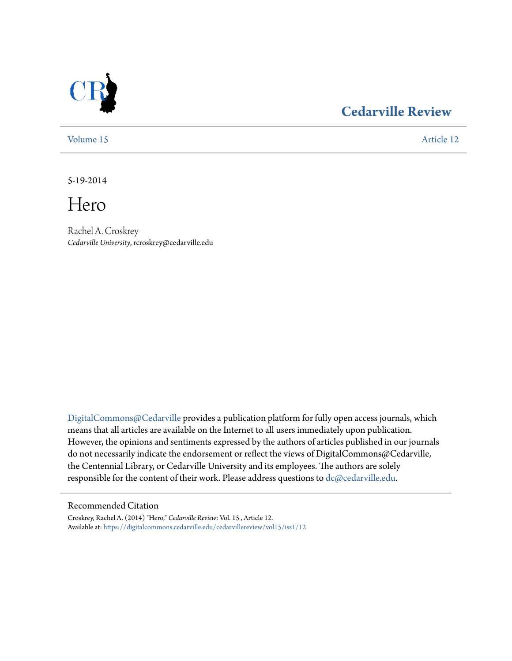

# **[Cedarville Review](https://digitalcommons.cedarville.edu/cedarvillereview?utm_source=digitalcommons.cedarville.edu%2Fcedarvillereview%2Fvol15%2Fiss1%2F12&utm_medium=PDF&utm_campaign=PDFCoverPages)**

[Volume 15](https://digitalcommons.cedarville.edu/cedarvillereview/vol15?utm_source=digitalcommons.cedarville.edu%2Fcedarvillereview%2Fvol15%2Fiss1%2F12&utm_medium=PDF&utm_campaign=PDFCoverPages) [Article 12](https://digitalcommons.cedarville.edu/cedarvillereview/vol15/iss1/12?utm_source=digitalcommons.cedarville.edu%2Fcedarvillereview%2Fvol15%2Fiss1%2F12&utm_medium=PDF&utm_campaign=PDFCoverPages)

5-19-2014

Hero

Rachel A. Croskrey *Cedarville University*, rcroskrey@cedarville.edu

[DigitalCommons@Cedarville](http://digitalcommons.cedarville.edu) provides a publication platform for fully open access journals, which means that all articles are available on the Internet to all users immediately upon publication. However, the opinions and sentiments expressed by the authors of articles published in our journals do not necessarily indicate the endorsement or reflect the views of DigitalCommons@Cedarville, the Centennial Library, or Cedarville University and its employees. The authors are solely responsible for the content of their work. Please address questions to [dc@cedarville.edu](mailto:dc@cedarville.edu).

#### Recommended Citation

Croskrey, Rachel A. (2014) "Hero," *Cedarville Review*: Vol. 15 , Article 12. Available at: [https://digitalcommons.cedarville.edu/cedarvillereview/vol15/iss1/12](https://digitalcommons.cedarville.edu/cedarvillereview/vol15/iss1/12?utm_source=digitalcommons.cedarville.edu%2Fcedarvillereview%2Fvol15%2Fiss1%2F12&utm_medium=PDF&utm_campaign=PDFCoverPages)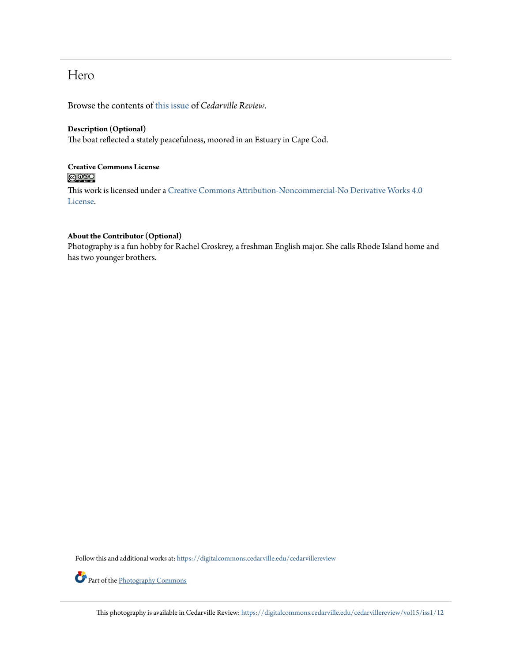## Hero

Browse the contents of [this issue](https://digitalcommons.cedarville.edu/cedarvillereview/vol15/iss1) of *Cedarville Review*.

#### **Description (Optional)**

The boat reflected a stately peacefulness, moored in an Estuary in Cape Cod.

### **Creative Commons License**  $\bigcirc$   $\circ$

This work is licensed under a [Creative Commons Attribution-Noncommercial-No Derivative Works 4.0](http://creativecommons.org/licenses/by-nc-nd/4.0/) [License.](http://creativecommons.org/licenses/by-nc-nd/4.0/)

#### **About the Contributor (Optional)**

Photography is a fun hobby for Rachel Croskrey, a freshman English major. She calls Rhode Island home and has two younger brothers.

Follow this and additional works at: [https://digitalcommons.cedarville.edu/cedarvillereview](https://digitalcommons.cedarville.edu/cedarvillereview?utm_source=digitalcommons.cedarville.edu%2Fcedarvillereview%2Fvol15%2Fiss1%2F12&utm_medium=PDF&utm_campaign=PDFCoverPages)



This photography is available in Cedarville Review: [https://digitalcommons.cedarville.edu/cedarvillereview/vol15/iss1/12](https://digitalcommons.cedarville.edu/cedarvillereview/vol15/iss1/12?utm_source=digitalcommons.cedarville.edu%2Fcedarvillereview%2Fvol15%2Fiss1%2F12&utm_medium=PDF&utm_campaign=PDFCoverPages)